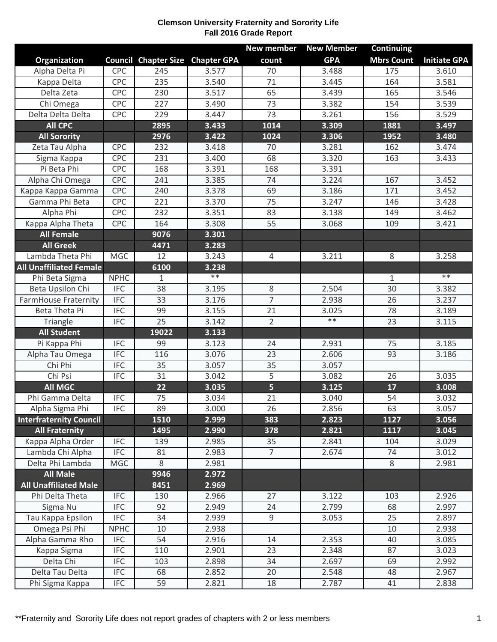## **Clemson University Fraternity and Sorority Life Fall 2016 Grade Report**

|                                |             |                                         |            | <b>New member</b>       | <b>New Member</b> | <b>Continuing</b> |                     |
|--------------------------------|-------------|-----------------------------------------|------------|-------------------------|-------------------|-------------------|---------------------|
| Organization                   |             | <b>Council Chapter Size Chapter GPA</b> |            | count                   | <b>GPA</b>        | <b>Mbrs Count</b> | <b>Initiate GPA</b> |
| Alpha Delta Pi                 | <b>CPC</b>  | 245                                     | 3.577      | 70                      | 3.488             | 175               | 3.610               |
| Kappa Delta                    | CPC         | 235                                     | 3.540      | 71                      | 3.445             | 164               | 3.581               |
| Delta Zeta                     | CPC         | 230                                     | 3.517      | 65                      | 3.439             | 165               | 3.546               |
| Chi Omega                      | CPC         | 227                                     | 3.490      | 73                      | 3.382             | 154               | 3.539               |
| Delta Delta Delta              | CPC         | 229                                     | 3.447      | 73                      | 3.261             | 156               | 3.529               |
| <b>All CPC</b>                 |             | 2895                                    | 3.433      | 1014                    | 3.309             | 1881              | 3.497               |
| <b>All Sorority</b>            |             | 2976                                    | 3.422      | 1024                    | 3.306             | 1952              | 3.480               |
| Zeta Tau Alpha                 | CPC         | 232                                     | 3.418      | 70                      | 3.281             | 162               | 3.474               |
| Sigma Kappa                    | CPC         | 231                                     | 3.400      | 68                      | 3.320             | 163               | 3.433               |
| Pi Beta Phi                    | CPC         | 168                                     | 3.391      | 168                     | 3.391             |                   |                     |
| Alpha Chi Omega                | CPC         | 241                                     | 3.385      | 74                      | 3.224             | 167               | 3.452               |
| Kappa Kappa Gamma              | CPC         | 240                                     | 3.378      | 69                      | 3.186             | 171               | 3.452               |
| Gamma Phi Beta                 | <b>CPC</b>  | 221                                     | 3.370      | $\overline{75}$         | 3.247             | 146               | 3.428               |
| Alpha Phi                      | CPC         | 232                                     | 3.351      | 83                      | 3.138             | 149               | 3.462               |
| Kappa Alpha Theta              | <b>CPC</b>  | 164                                     | 3.308      | 55                      | 3.068             | 109               | 3.421               |
| <b>All Female</b>              |             | 9076                                    | 3.301      |                         |                   |                   |                     |
| <b>All Greek</b>               |             | 4471                                    | 3.283      |                         |                   |                   |                     |
| Lambda Theta Phi               | <b>MGC</b>  | 12                                      | 3.243      | $\overline{4}$          | 3.211             | 8                 | 3.258               |
| <b>All Unaffiliated Female</b> |             | 6100                                    | 3.238      |                         |                   |                   |                     |
| Phi Beta Sigma                 | <b>NPHC</b> | $\mathbf 1$                             | $\ast\ast$ |                         |                   | $\mathbf{1}$      | $**$                |
| Beta Upsilon Chi               | <b>IFC</b>  | 38                                      | 3.195      | 8                       | 2.504             | 30                | 3.382               |
| <b>FarmHouse Fraternity</b>    | <b>IFC</b>  | 33                                      | 3.176      | $\overline{7}$          | 2.938             | 26                | 3.237               |
| Beta Theta Pi                  | <b>IFC</b>  | 99                                      | 3.155      | 21                      | 3.025             | 78                | 3.189               |
| Triangle                       | <b>IFC</b>  | $\overline{25}$                         | 3.142      | $\overline{2}$          | $***$             | 23                | 3.115               |
| <b>All Student</b>             |             | 19022                                   | 3.133      |                         |                   |                   |                     |
| Pi Kappa Phi                   | <b>IFC</b>  | 99                                      | 3.123      | 24                      | 2.931             | 75                | 3.185               |
| Alpha Tau Omega                | <b>IFC</b>  | 116                                     | 3.076      | 23                      | 2.606             | 93                | 3.186               |
| Chi Phi                        | <b>IFC</b>  | 35                                      | 3.057      | 35                      | 3.057             |                   |                     |
| Chi Psi                        | <b>IFC</b>  | 31                                      | 3.042      | 5                       | 3.082             | 26                | 3.035               |
| <b>All MGC</b>                 |             | 22                                      | 3.035      | $\overline{\mathbf{5}}$ | 3.125             | 17                | 3.008               |
| Phi Gamma Delta                | <b>IFC</b>  | 75                                      | 3.034      | 21                      | 3.040             | 54                | 3.032               |
| Alpha Sigma Phi                | <b>IFC</b>  | 89                                      | 3.000      | 26                      | 2.856             | 63                | 3.057               |
| <b>Interfraternity Council</b> |             | 1510                                    | 2.999      | 383                     | 2.823             | 1127              | 3.056               |
| <b>All Fraternity</b>          |             | 1495                                    | 2.990      | 378                     | 2.821             | 1117              | 3.045               |
| Kappa Alpha Order              | <b>IFC</b>  | 139                                     | 2.985      | 35                      | 2.841             | 104               | 3.029               |
| Lambda Chi Alpha               | <b>IFC</b>  | 81                                      | 2.983      | $\overline{7}$          | 2.674             | 74                | 3.012               |
| Delta Phi Lambda               | <b>MGC</b>  | 8                                       | 2.981      |                         |                   | 8                 | 2.981               |
| <b>All Male</b>                |             | 9946                                    | 2.972      |                         |                   |                   |                     |
| <b>All Unaffiliated Male</b>   |             | 8451                                    | 2.969      |                         |                   |                   |                     |
| Phi Delta Theta                | <b>IFC</b>  | 130                                     | 2.966      | 27                      | 3.122             | 103               | 2.926               |
| Sigma Nu                       | <b>IFC</b>  | 92                                      | 2.949      | 24                      | 2.799             | 68                | 2.997               |
| Tau Kappa Epsilon              | <b>IFC</b>  | 34                                      | 2.939      | 9                       | 3.053             | 25                | 2.897               |
| Omega Psi Phi                  | <b>NPHC</b> | 10                                      | 2.938      |                         |                   | 10                | 2.938               |
| Alpha Gamma Rho                | <b>IFC</b>  | 54                                      | 2.916      | 14                      | 2.353             | 40                | 3.085               |
| Kappa Sigma                    | <b>IFC</b>  | 110                                     | 2.901      | 23                      | 2.348             | 87                | 3.023               |
| Delta Chi                      | <b>IFC</b>  | 103                                     | 2.898      | 34                      | 2.697             | 69                | 2.992               |
| Delta Tau Delta                | <b>IFC</b>  | 68                                      | 2.852      | 20                      | 2.548             | 48                | 2.967               |
| Phi Sigma Kappa                | <b>IFC</b>  | 59                                      | 2.821      | 18                      | 2.787             | 41                | 2.838               |